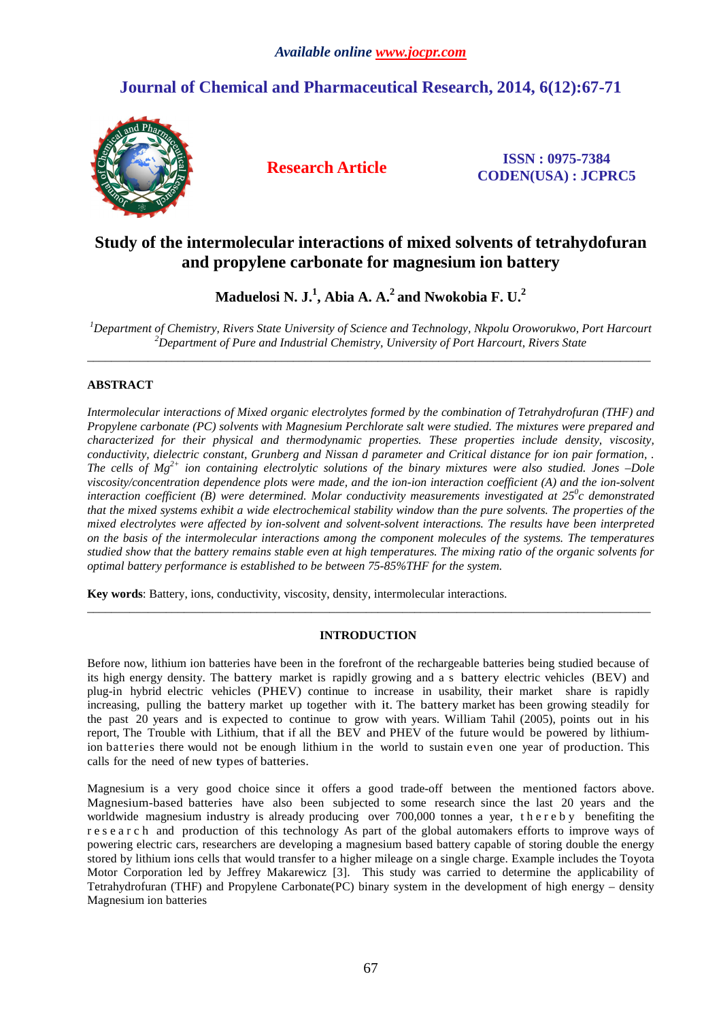# **Journal of Chemical and Pharmaceutical Research, 2014, 6(12):67-71**



**Research Article ISSN : 0975-7384 CODEN(USA) : JCPRC5**

# **Study of the intermolecular interactions of mixed solvents of tetrahydofuran and propylene carbonate for magnesium ion battery**

**Maduelosi N. J.<sup>1</sup> , Abia A. A.<sup>2</sup>and Nwokobia F. U.<sup>2</sup>**

*<sup>1</sup>Department of Chemistry, Rivers State University of Science and Technology, Nkpolu Oroworukwo, Port Harcourt <sup>2</sup>Department of Pure and Industrial Chemistry, University of Port Harcourt, Rivers State*   $\overline{a}$  , and the contribution of the contribution of the contribution of the contribution of the contribution of the contribution of the contribution of the contribution of the contribution of the contribution of the co

# **ABSTRACT**

*Intermolecular interactions of Mixed organic electrolytes formed by the combination of Tetrahydrofuran (THF) and Propylene carbonate (PC) solvents with Magnesium Perchlorate salt were studied. The mixtures were prepared and characterized for their physical and thermodynamic properties. These properties include density, viscosity, conductivity, dielectric constant, Grunberg and Nissan d parameter and Critical distance for ion pair formation, . The cells of Mg2+ ion containing electrolytic solutions of the binary mixtures were also studied. Jones –Dole viscosity/concentration dependence plots were made, and the ion-ion interaction coefficient (A) and the ion-solvent interaction coefficient (B) were determined. Molar conductivity measurements investigated at 25<sup>0</sup> c demonstrated that the mixed systems exhibit a wide electrochemical stability window than the pure solvents. The properties of the mixed electrolytes were affected by ion-solvent and solvent-solvent interactions. The results have been interpreted on the basis of the intermolecular interactions among the component molecules of the systems. The temperatures studied show that the battery remains stable even at high temperatures. The mixing ratio of the organic solvents for optimal battery performance is established to be between 75-85%THF for the system.* 

**Key words**: Battery, ions, conductivity, viscosity, density, intermolecular interactions.

# **INTRODUCTION**

 $\overline{a}$  , and the contribution of the contribution of the contribution of the contribution of the contribution of the contribution of the contribution of the contribution of the contribution of the contribution of the co

Before now, lithium ion batteries have been in the forefront of the rechargeable batteries being studied because of its high energy density. The battery market is rapidly growing and a s battery electric vehicles (BEV) and plug-in hybrid electric vehicles (PHEV) continue to increase in usability, their market share is rapidly increasing, pulling the battery market up together with it. The battery market has been growing steadily for the past 20 years and is expected to continue to grow with years. William Tahil (2005), points out in his report, The Trouble with Lithium, that if all the BEV and PHEV of the future would be powered by lithiumion batteries there would not be enough lithium in the world to sustain even one year of production. This calls for the need of new types of batteries.

Magnesium is a very good choice since it offers a good trade-off between the mentioned factors above. Magnesium-based batteries have also been subjected to some research since the last 20 years and the worldwide magnesium industry is already producing over 700,000 tonnes a year, the r e b y benefiting the r e s e a r c h and production of this technology As part of the global automakers efforts to improve ways of powering electric cars, researchers are developing a magnesium based battery capable of storing double the energy stored by lithium ions cells that would transfer to a higher mileage on a single charge. Example includes the Toyota Motor Corporation led by Jeffrey Makarewicz [3]. This study was carried to determine the applicability of Tetrahydrofuran (THF) and Propylene Carbonate(PC) binary system in the development of high energy – density Magnesium ion batteries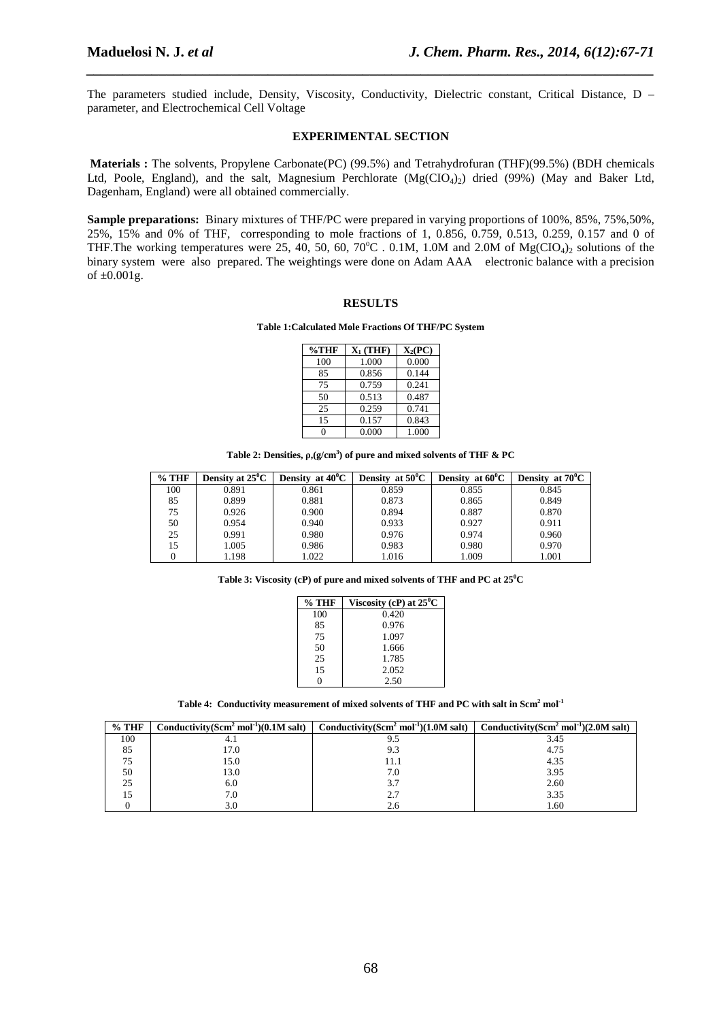The parameters studied include, Density, Viscosity, Conductivity, Dielectric constant, Critical Distance, D – parameter, and Electrochemical Cell Voltage

*\_\_\_\_\_\_\_\_\_\_\_\_\_\_\_\_\_\_\_\_\_\_\_\_\_\_\_\_\_\_\_\_\_\_\_\_\_\_\_\_\_\_\_\_\_\_\_\_\_\_\_\_\_\_\_\_\_\_\_\_\_\_\_\_\_\_\_\_\_\_\_\_\_\_\_\_\_\_*

### **EXPERIMENTAL SECTION**

 **Materials :** The solvents, Propylene Carbonate(PC) (99.5%) and Tetrahydrofuran (THF)(99.5%) (BDH chemicals Ltd, Poole, England), and the salt, Magnesium Perchlorate (Mg(CIO<sub>4</sub>)<sub>2</sub>) dried (99%) (May and Baker Ltd, Dagenham, England) were all obtained commercially.

**Sample preparations:** Binary mixtures of THF/PC were prepared in varying proportions of 100%, 85%, 75%,50%, 25%, 15% and 0% of THF, corresponding to mole fractions of 1, 0.856, 0.759, 0.513, 0.259, 0.157 and 0 of THF. The working temperatures were 25, 40, 50, 60, 70°C . 0.1M, 1.0M and 2.0M of  $Mg(CIO<sub>4</sub>)<sub>2</sub>$  solutions of the binary system were also prepared. The weightings were done on Adam AAA electronic balance with a precision of  $\pm 0.001$ g.

## **RESULTS**

### **Table 1:Calculated Mole Fractions Of THF/PC System**

| $\%$ THF | $X_1$ (THF) | $X_2(PC)$ |
|----------|-------------|-----------|
| 100      | 1.000       | 0.000     |
| 85       | 0.856       | 0.144     |
| 75       | 0.759       | 0.241     |
| 50       | 0.513       | 0.487     |
| 25       | 0.259       | 0.741     |
| 15       | 0.157       | 0.843     |
|          | 0.000       | 1.000     |

**Table 2: Densities, ρ,(g/cm<sup>3</sup> ) of pure and mixed solvents of THF & PC** 

| $%$ THF | Density at $25^{\circ}$ C | Density at $40^{\circ}$ C | Density at $50^{\circ}$ C | Density at $60^{\circ}$ C | Density at $70^{\circ}$ C |
|---------|---------------------------|---------------------------|---------------------------|---------------------------|---------------------------|
| 100     | 0.891                     | 0.861                     | 0.859                     | 0.855                     | 0.845                     |
| 85      | 0.899                     | 0.881                     | 0.873                     | 0.865                     | 0.849                     |
| 75      | 0.926                     | 0.900                     | 0.894                     | 0.887                     | 0.870                     |
| 50      | 0.954                     | 0.940                     | 0.933                     | 0.927                     | 0.911                     |
| 25      | 0.991                     | 0.980                     | 0.976                     | 0.974                     | 0.960                     |
| 15      | 1.005                     | 0.986                     | 0.983                     | 0.980                     | 0.970                     |
|         | 1.198                     | 1.022                     | 1.016                     | 1.009                     | 1.001                     |

**Table 3: Viscosity (cP) of pure and mixed solvents of THF and PC at 25<sup>0</sup>C** 

| % THF | Viscosity (cP) at $25^{\circ}$ C |
|-------|----------------------------------|
| 100   | 0.420                            |
| 85    | 0.976                            |
| 75    | 1.097                            |
| 50    | 1.666                            |
| 25    | 1.785                            |
| 15    | 2.052                            |
|       | 2.50                             |

**Table 4: Conductivity measurement of mixed solvents of THF and PC with salt in Scm<sup>2</sup> mol-1** 

| $\%$ THF | Conductivity $(Scm2 mol-1)(0.1M salt)$ | Conductivity(Scm <sup>2</sup> mol <sup>-1</sup> )(1.0M salt) Conductivity(Scm <sup>2</sup> mol <sup>-1</sup> )(2.0M salt) |      |
|----------|----------------------------------------|---------------------------------------------------------------------------------------------------------------------------|------|
| 100      | 4.1                                    | 9.5                                                                                                                       | 3.45 |
| 85       | 17.0                                   | 9.3                                                                                                                       | 4.75 |
| 75       | 15.0                                   | 11.1                                                                                                                      | 4.35 |
| 50       | 13.0                                   | 7.0                                                                                                                       | 3.95 |
| 25       | 6.0                                    | 3.7                                                                                                                       | 2.60 |
| 15       | 7.0                                    | 2.7                                                                                                                       | 3.35 |
|          | 3.0                                    | 2.6                                                                                                                       | 1.60 |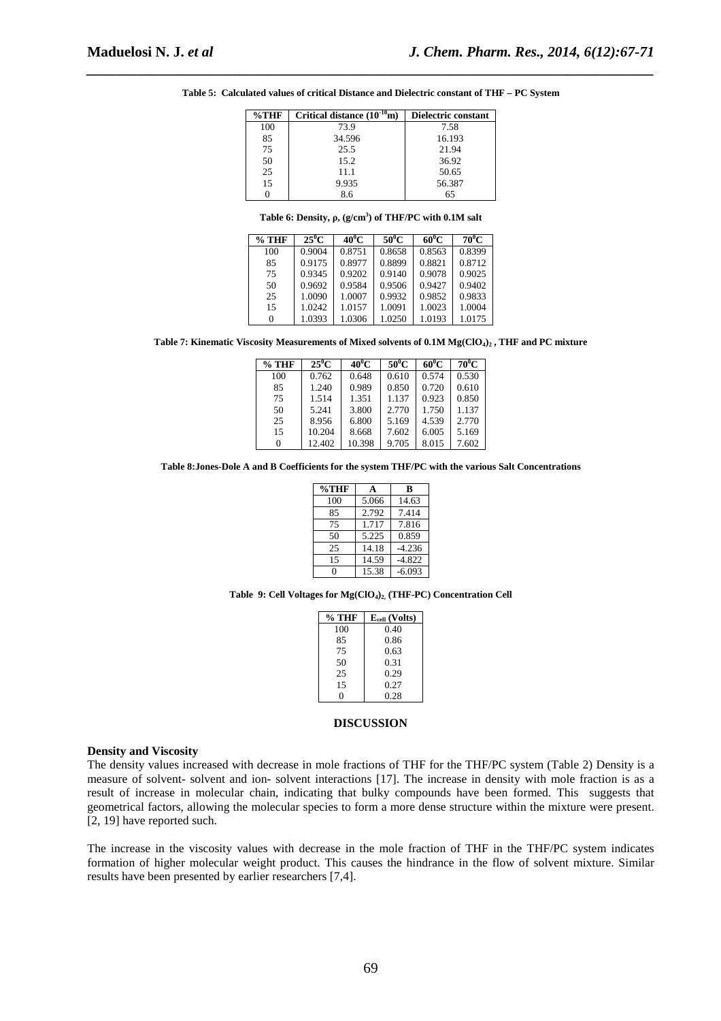| $\%$ THF | Critical distance $(10^{-10}m)$ | Dielectric constant |
|----------|---------------------------------|---------------------|
| 100      | 73.9                            | 7.58                |
| 85       | 34.596                          | 16.193              |
| 75       | 25.5                            | 21.94               |
| 50       | 15.2                            | 36.92               |
| 25       | 11.1                            | 50.65               |
| 15       | 9.935                           | 56.387              |
|          | 86                              | 65                  |

**Table 5: Calculated values of critical Distance and Dielectric constant of THF – PC System** 

*\_\_\_\_\_\_\_\_\_\_\_\_\_\_\_\_\_\_\_\_\_\_\_\_\_\_\_\_\_\_\_\_\_\_\_\_\_\_\_\_\_\_\_\_\_\_\_\_\_\_\_\_\_\_\_\_\_\_\_\_\_\_\_\_\_\_\_\_\_\_\_\_\_\_\_\_\_\_*

|  |  |  | Table 6: Density, $\rho$ , (g/cm <sup>3</sup> ) of THF/PC with 0.1M salt |
|--|--|--|--------------------------------------------------------------------------|
|--|--|--|--------------------------------------------------------------------------|

| $%$ THF | $25^0C$ | $40^0$ C | $50^0C$ | $60^0C$ | $70^0C$ |
|---------|---------|----------|---------|---------|---------|
| 100     | 0.9004  | 0.8751   | 0.8658  | 0.8563  | 0.8399  |
| 85      | 0.9175  | 0.8977   | 0.8899  | 0.8821  | 0.8712  |
| 75      | 0.9345  | 0.9202   | 0.9140  | 0.9078  | 0.9025  |
| 50      | 0.9692  | 0.9584   | 0.9506  | 0.9427  | 0.9402  |
| 25      | 1.0090  | 1.0007   | 0.9932  | 0.9852  | 0.9833  |
| 15      | 1.0242  | 1.0157   | 1.0091  | 1.0023  | 1.0004  |
| 0       | 1.0393  | 1.0306   | 1.0250  | 1.0193  | 1.0175  |

**Table 7: Kinematic Viscosity Measurements of Mixed solvents of 0.1M Mg(ClO4)2 , THF and PC mixture** 

| $%$ THF | $25^0C$ | $40^0$ C | $50^0$ C | $60^0C$ | $70^0C$ |
|---------|---------|----------|----------|---------|---------|
|         |         |          |          |         |         |
| 100     | 0.762   | 0.648    | 0.610    | 0.574   | 0.530   |
| 85      | 1.240   | 0.989    | 0.850    | 0.720   | 0.610   |
| 75      | 1.514   | 1.351    | 1.137    | 0.923   | 0.850   |
| 50      | 5.241   | 3.800    | 2.770    | 1.750   | 1.137   |
| 25      | 8.956   | 6.800    | 5.169    | 4.539   | 2.770   |
| 15      | 10.204  | 8.668    | 7.602    | 6.005   | 5.169   |
|         | 12.402  | 10.398   | 9.705    | 8.015   | 7.602   |

**Table 8:Jones-Dole A and B Coefficients for the system THF/PC with the various Salt Concentrations** 

| $\%$ THF | A     | в        |
|----------|-------|----------|
| 100      | 5.066 | 14.63    |
| 85       | 2.792 | 7.414    |
| 75       | 1.717 | 7.816    |
| 50       | 5.225 | 0.859    |
| 25       | 14.18 | $-4.236$ |
| 15       | 14.59 | $-4.822$ |
| 0        | 15.38 | $-6.093$ |
|          |       |          |

**Table 9: Cell Voltages for Mg(ClO4)2, (THF-PC) Concentration Cell** 

| % THF | $E_{cell}$ (Volts) |
|-------|--------------------|
| 100   | 0.40               |
| 85    | 0.86               |
| 75    | 0.63               |
| 50    | 0.31               |
| 25    | 0.29               |
| 15    | 0.27               |
| 0     | 0.28               |

### **DISCUSSION**

### **Density and Viscosity**

The density values increased with decrease in mole fractions of THF for the THF/PC system (Table 2) Density is a measure of solvent- solvent and ion- solvent interactions [17]. The increase in density with mole fraction is as a result of increase in molecular chain, indicating that bulky compounds have been formed. This suggests that geometrical factors, allowing the molecular species to form a more dense structure within the mixture were present. [2, 19] have reported such.

The increase in the viscosity values with decrease in the mole fraction of THF in the THF/PC system indicates formation of higher molecular weight product. This causes the hindrance in the flow of solvent mixture. Similar results have been presented by earlier researchers [7,4].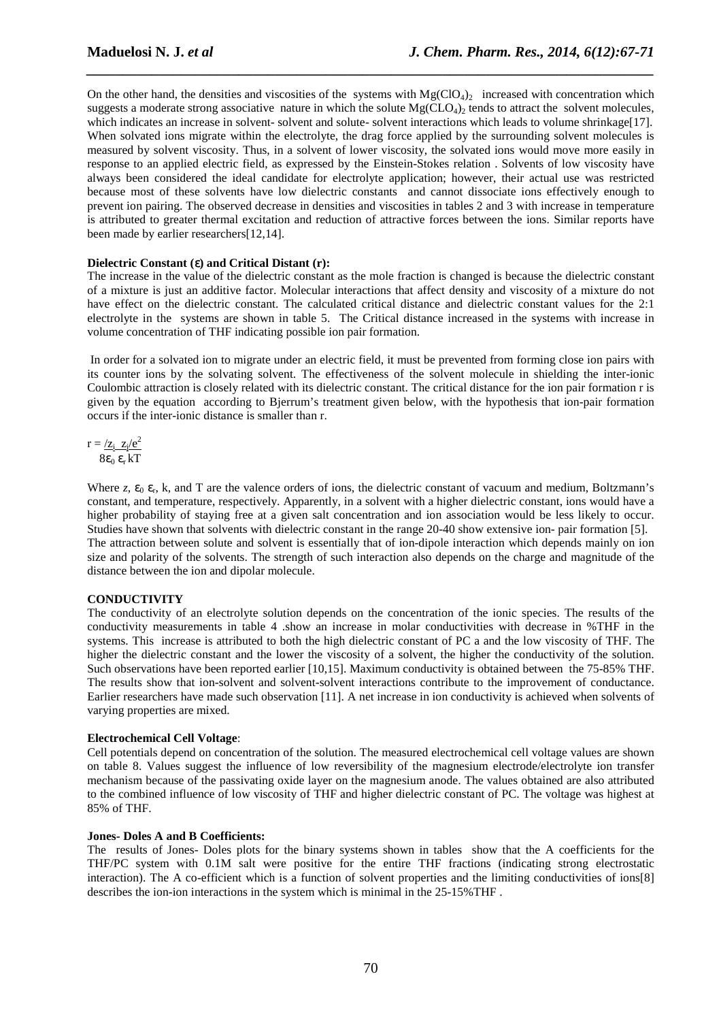On the other hand, the densities and viscosities of the systems with  $Mg(CIO<sub>4</sub>)$  increased with concentration which suggests a moderate strong associative nature in which the solute  $Mg(CLO_4)$  tends to attract the solvent molecules, which indicates an increase in solvent- solvent and solute- solvent interactions which leads to volume shrinkage[17]. When solvated ions migrate within the electrolyte, the drag force applied by the surrounding solvent molecules is measured by solvent viscosity. Thus, in a solvent of lower viscosity, the solvated ions would move more easily in response to an applied electric field, as expressed by the Einstein-Stokes relation . Solvents of low viscosity have always been considered the ideal candidate for electrolyte application; however, their actual use was restricted because most of these solvents have low dielectric constants and cannot dissociate ions effectively enough to prevent ion pairing. The observed decrease in densities and viscosities in tables 2 and 3 with increase in temperature is attributed to greater thermal excitation and reduction of attractive forces between the ions. Similar reports have been made by earlier researchers[12,14].

*\_\_\_\_\_\_\_\_\_\_\_\_\_\_\_\_\_\_\_\_\_\_\_\_\_\_\_\_\_\_\_\_\_\_\_\_\_\_\_\_\_\_\_\_\_\_\_\_\_\_\_\_\_\_\_\_\_\_\_\_\_\_\_\_\_\_\_\_\_\_\_\_\_\_\_\_\_\_*

## **Dielectric Constant (**ε**) and Critical Distant (r):**

The increase in the value of the dielectric constant as the mole fraction is changed is because the dielectric constant of a mixture is just an additive factor. Molecular interactions that affect density and viscosity of a mixture do not have effect on the dielectric constant. The calculated critical distance and dielectric constant values for the 2:1 electrolyte in the systems are shown in table 5. The Critical distance increased in the systems with increase in volume concentration of THF indicating possible ion pair formation.

 In order for a solvated ion to migrate under an electric field, it must be prevented from forming close ion pairs with its counter ions by the solvating solvent. The effectiveness of the solvent molecule in shielding the inter-ionic Coulombic attraction is closely related with its dielectric constant. The critical distance for the ion pair formation r is given by the equation according to Bjerrum's treatment given below, with the hypothesis that ion-pair formation occurs if the inter-ionic distance is smaller than r.

$$
r = \frac{z_i z_j/e^2}{8\varepsilon_0 \varepsilon_r kT}
$$

Where  $z$ ,  $\varepsilon_0$   $\varepsilon_r$ , k, and T are the valence orders of ions, the dielectric constant of vacuum and medium, Boltzmann's constant, and temperature, respectively. Apparently, in a solvent with a higher dielectric constant, ions would have a higher probability of staying free at a given salt concentration and ion association would be less likely to occur. Studies have shown that solvents with dielectric constant in the range 20-40 show extensive ion- pair formation [5]. The attraction between solute and solvent is essentially that of ion-dipole interaction which depends mainly on ion size and polarity of the solvents. The strength of such interaction also depends on the charge and magnitude of the distance between the ion and dipolar molecule.

# **CONDUCTIVITY**

The conductivity of an electrolyte solution depends on the concentration of the ionic species. The results of the conductivity measurements in table 4 .show an increase in molar conductivities with decrease in %THF in the systems. This increase is attributed to both the high dielectric constant of PC a and the low viscosity of THF. The higher the dielectric constant and the lower the viscosity of a solvent, the higher the conductivity of the solution. Such observations have been reported earlier [10,15]. Maximum conductivity is obtained between the 75-85% THF. The results show that ion-solvent and solvent-solvent interactions contribute to the improvement of conductance. Earlier researchers have made such observation [11]. A net increase in ion conductivity is achieved when solvents of varying properties are mixed.

# **Electrochemical Cell Voltage**:

Cell potentials depend on concentration of the solution. The measured electrochemical cell voltage values are shown on table 8. Values suggest the influence of low reversibility of the magnesium electrode/electrolyte ion transfer mechanism because of the passivating oxide layer on the magnesium anode. The values obtained are also attributed to the combined influence of low viscosity of THF and higher dielectric constant of PC. The voltage was highest at 85% of THF.

### **Jones- Doles A and B Coefficients:**

The results of Jones- Doles plots for the binary systems shown in tables show that the A coefficients for the THF/PC system with 0.1M salt were positive for the entire THF fractions (indicating strong electrostatic interaction). The A co-efficient which is a function of solvent properties and the limiting conductivities of ions[8] describes the ion-ion interactions in the system which is minimal in the 25-15%THF .